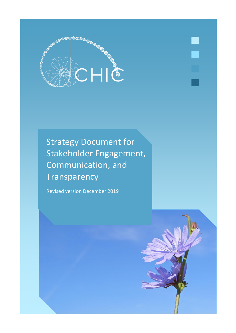

Strategy Document for Stakeholder Engagement, Communication, and **Transparency** 

Revised version December 2019

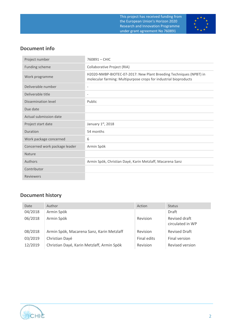

## **Document info**

| Project number                | 760891 - CHIC                                                                                                                          |
|-------------------------------|----------------------------------------------------------------------------------------------------------------------------------------|
| Funding scheme                | Collaborative Project (RIA)                                                                                                            |
| Work programme                | H2020-NMBP-BIOTEC-07-2017: New Plant Breeding Techniques (NPBT) in<br>molecular farming: Multipurpose crops for industrial bioproducts |
| Deliverable number            | $\overline{\phantom{a}}$                                                                                                               |
| Deliverable title             | $\overline{\phantom{a}}$                                                                                                               |
| Dissemination level           | Public                                                                                                                                 |
| Due date                      |                                                                                                                                        |
| Actual submission date        |                                                                                                                                        |
| Project start date            | January 1st, 2018                                                                                                                      |
| Duration                      | 54 months                                                                                                                              |
| Work package concerned        | 6                                                                                                                                      |
| Concerned work package leader | Armin Spök                                                                                                                             |
| <b>Nature</b>                 |                                                                                                                                        |
| Authors                       | Armin Spök, Christian Dayé, Karin Metzlaff, Macarena Sanz                                                                              |
| Contributor                   |                                                                                                                                        |
| <b>Reviewers</b>              |                                                                                                                                        |

# **Document history**

| Date    | Author                                     | Action      | <b>Status</b>                     |
|---------|--------------------------------------------|-------------|-----------------------------------|
| 04/2018 | Armin Spök                                 |             | Draft                             |
| 06/2018 | Armin Spök                                 | Revision    | Revised draft<br>circulated in WP |
| 08/2018 | Armin Spök, Macarena Sanz, Karin Metzlaff  | Revision    | <b>Revised Draft</b>              |
| 03/2019 | Christian Dayé                             | Final edits | Final version                     |
| 12/2019 | Christian Dayé, Karin Metzlaff, Armin Spök | Revision    | Revised version                   |

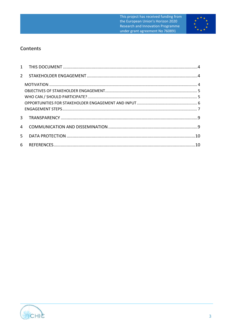

## **Contents**

| $\mathbf{2}$   |  |
|----------------|--|
|                |  |
|                |  |
|                |  |
|                |  |
|                |  |
| 3 <sup>1</sup> |  |
| 4              |  |
| $5 -$          |  |
| 6              |  |

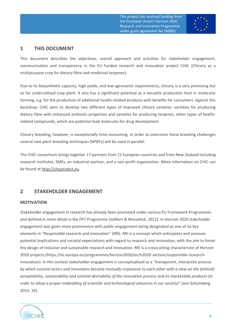

### <span id="page-3-0"></span>**1 THIS DOCUMENT**

This document describes the objectives, overall approach and activities for stakeholder engagement, communication and transparency in the EU funded research and innovation project CHIC (Chicory as a multipurpose crop for dietary fibre and medicinal terpenes).

Due to its biosynthetic capacity, high yields, and low agronomic requirements, chicory is a very promising but so far underutilised crop plant. It also has a significant potential as a versatile production host in molecular farming, e.g. for the production of additional health-related products with benefits for consumers. Against this backdrop, CHIC aims to develop two different types of improved chicory varieties: varieties for producing dietary fibre with enhanced prebiotic properties and varieties for producing terpenes, other types of healthrelated compounds, which are potential lead molecules for drug development.

Chicory breeding, however, is exceptionally time-consuming. In order to overcome these breeding challenges several new plant breeding techniques (NPBTs) will be used in parallel.

The CHIC consortium brings together 17 partners from 11 European countries and from New Zealand including research institutes, SMEs, an industrial partner, and a non-profit organization. More information on CHIC can be found at [http://chicproject.eu.](http://chicproject.eu/)

## <span id="page-3-1"></span>**2 STAKEHOLDER ENGAGEMENT**

#### <span id="page-3-2"></span>**MOTIVATION**

Stakeholder engagement in research has already been promoted under various EU Framework Programmes and defined in more detail in the FP7 Programme (Jolibert & Wesselink, 2012). In Horizon 2020 stakeholder engagement was given more prominence with public engagement being designated as one of six key elements in "Responsible research and innovation" (RRI). RRI is a concept which anticipates and assesses potential implications and societal expectations with regard to research and innovation, with the aim to foster the design of inclusive and sustainable research and innovation. RRI is a crosscutting characteristic of Horizon 2020 projects (https://ec.europa.eu/programmes/horizon2020/en/h2020-section/responsible-researchinnovation). In this context stakeholder engagement is conceptualised as a "*transparent, interactive process by which societal actors and innovators become mutually responsive to each other with a view on the (ethical) acceptability, sustainability and societal desirability of the innovation process and its marketable products (in order to allow a proper embedding of scientific and technological advances in our society)*" (von Schomberg 2013: 19).

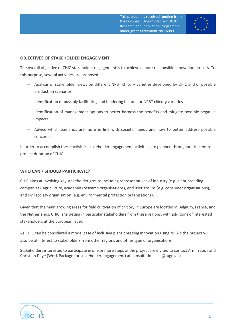

#### <span id="page-4-0"></span>**OBJECTIVES OF STAKEHOLDER ENGAGEMENT**

The overall objective of CHIC stakeholder engagement is to achieve a more responsible innovation process. To this purpose, several activities are proposed:

- − Analysis of stakeholder views on different NPBT chicory varieties developed by CHIC and of possible production scenarios
- − Identification of possibly facilitating and hindering factors for NPBT chicory varieties
- − Identification of management options to better harness the benefits and mitigate possible negative impacts
- − Advice which scenarios are more in line with societal needs and how to better address possible concerns

In order to accomplish these activities stakeholder engagement activities are planned throughout the entire project duration of CHIC.

#### <span id="page-4-1"></span>**WHO CAN / SHOULD PARTICIPATE?**

CHIC aims at involving key stakeholder groups including representatives of industry (e.g. plant breeding companies), agriculture, academia (research organisations), end user groups (e.g. consumer organisations), and civil society organisation (e.g. environmental protection organisations).

Given that the main growing areas for field cultivation of chicory in Europe are located in Belgium, France, and the Netherlands, CHIC is targeting in particular stakeholders from these regions, with additions of interested stakeholders at the European level.

As CHIC can be considered a model case of inclusive plant breeding innovation using NPBTs the project will also be of interest to stakeholders from other regions and other type of organisations.

Stakeholders interested to participate in one or more steps of the project are invited to contact Armin Spök and Christian Dayé (Work Package for stakeholder engagement) at [consultations-sts@tugraz.at.](mailto:consultations-sts@tugraz.at)

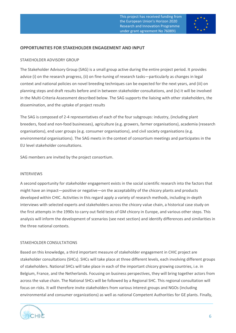

#### <span id="page-5-0"></span>**OPPORTUNITIES FOR STAKEHOLDER ENGAGEMENT AND INPUT**

#### STAKEHOLDER ADVISORY GROUP

The Stakeholder Advisory Group (SAG) is a small group active during the entire project period. It provides advice (i) on the research progress, (ii) on fine-tuning of research tasks—particularly as changes in legal context and national policies on novel breeding techniques can be expected for the next years, and (iii) on planning steps and draft results before and in between stakeholder consultations, and (iv) it will be involved in the Multi-Criteria Assessment described below. The SAG supports the liaising with other stakeholders, the dissemination, and the uptake of project results

The SAG is composed of 2-4 representatives of each of the four subgroups: industry, (including plant breeders, food and non-food businesses), agriculture (e.g. growers, farmer organisations), academia (research organisations), end user groups (e.g. consumer organisations), and civil society organisations (e.g. environmental organisations). The SAG meets in the context of consortium meetings and participates in the EU level stakeholder consultations.

SAG members are invited by the project consortium.

#### INTERVIEWS

A second opportunity for stakeholder engagement exists in the social scientific research into the factors that might have an impact—positive or negative—on the acceptability of the chicory plants and products developed within CHIC. Activities in this regard apply a variety of research methods, including in-depth interviews with selected experts and stakeholders across the chicory value chain, a historical case study on the first attempts in the 1990s to carry out field tests of GM chicory in Europe, and various other steps. This analysis will inform the development of scenarios (see next section) and identify differences and similarities in the three national contexts.

#### STAKEHOLDER CONSULTATIONS

Based on this knowledge, a third important measure of stakeholder engagement in CHIC project are stakeholder consultations (SHCs). SHCs will take place at three different levels, each involving different groups of stakeholders. National SHCs will take place in each of the important chicory growing countries, i.e. in Belgium, France, and the Netherlands. Focusing on business perspectives, they will bring together actors from across the value chain. The National SHCs will be followed by a Regional SHC. This regional consultation will focus on risks. It will therefore invite stakeholders from various interest groups and NGOs (including environmental and consumer organizations) as well as national Competent Authorities for GE plants. Finally,

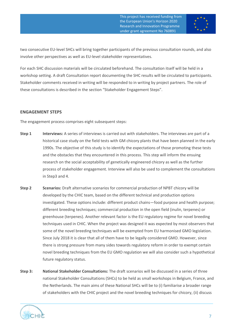

two consecutive EU-level SHCs will bring together participants of the previous consultation rounds, and also involve other perspectives as well as EU-level stakeholder representatives.

For each SHC discussion materials will be circulated beforehand. The consultation itself will be held in a workshop setting. A draft Consultation report documenting the SHC results will be circulated to participants. Stakeholder comments received in writing will be responded to in writing by project partners. The role of these consultations is described in the section "Stakeholder Engagement Steps".

#### <span id="page-6-0"></span>**ENGAGEMENT STEPS**

The engagement process comprises eight subsequent steps:

- **Step 1 Interviews:** A series of interviews is carried out with stakeholders. The interviews are part of a historical case study on the field tests with GM chicory plants that have been planned in the early 1990s. The objective of this study is to identify the expectations of those promoting these tests and the obstacles that they encountered in this process. This step will inform the ensuing research on the social acceptability of genetically engineered chicory as well as the further process of stakeholder engagement. Interview will also be used to complement the consultations in Step3 and 4.
- **Step 2 Scenarios:** Draft alternative scenarios for commercial production of NPBT chicory will be developed by the CHIC team, based on the different technical and production options investigated. These options include: different product chains—food purpose and health purpose; different breeding techniques; commercial production in the open field (inulin, terpenes) or greenhouse (terpenes). Another relevant factor is the EU regulatory regime for novel breeding techniques used in CHIC. When the project was designed it was expected by most observers that some of the novel breeding techniques will be exempted from EU harmonised GMO legislation. Since July 2018 it is clear that all of them have to be legally considered GMO. However, since there is strong pressure from many sides towards regulatory reform in order to exempt certain novel breeding techniques from the EU GMO regulation we will also consider such a hypothetical future regulatory status.
- **Step 3: National Stakeholder Consultations:** The draft scenarios will be discussed in a series of three national Stakeholder Consultations (SHCs) to be held as small workshops in Belgium, France, and the Netherlands. The main aims of these National SHCs will be to (i) familiarise a broader range of stakeholders with the CHIC project and the novel breeding techniques for chicory, (ii) discuss

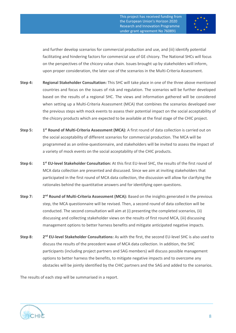

and further develop scenarios for commercial production and use, and (iii) identify potential facilitating and hindering factors for commercial use of GE chicory. The National SHCs will focus on the perspectives of the chicory value chain. Issues brought up by stakeholders will inform, upon proper consideration, the later use of the scenarios in the Multi-Criteria Assessment.

- **Step 4: Regional Stakeholder Consultation:** This SHC will take place in one of the three above mentioned countries and focus on the issues of risk and regulation. The scenarios will be further developed based on the results of a regional SHC. The views and information gathered will be considered when setting up a Multi-Criteria Assessment (MCA) that combines the scenarios developed over the previous steps with mock events to assess their potential impact on the social acceptability of the chicory products which are expected to be available at the final stage of the CHIC project.
- **Step 5: 1 st Round of Multi-Criteria Assessment (MCA):** A first round of data collection is carried out on the social acceptability of different scenarios for commercial production. The MCA will be programmed as an online-questionnaire, and stakeholders will be invited to assess the impact of a variety of mock events on the social acceptability of the CHIC products.
- **Step 6: 1 st EU-level Stakeholder Consultation:** At this first EU-level SHC, the results of the first round of MCA data collection are presented and discussed. Since we aim at inviting stakeholders that participated in the first round of MCA data collection, the discussion will allow for clarifying the rationales behind the quantitative answers and for identifying open questions.
- **Step 7:** 2<sup>nd</sup> Round of Multi-Criteria Assessment (MCA): Based on the insights generated in the previous step, the MCA questionnaire will be revised. Then, a second round of data collection will be conducted. The second consultation will aim at (i) presenting the completed scenarios, (ii) discussing and collecting stakeholder views on the results of first round MCA, (iii) discussing management options to better harness benefits and mitigate anticipated negative impacts.
- **Step 8: 2** 2<sup>nd</sup> **EU-level Stakeholder Consultations:** As with the first, the second EU-level SHC is also used to discuss the results of the precedent wave of MCA data collection. In addition, the SHC participants (including project partners and SAG members) will discuss possible management options to better harness the benefits, to mitigate negative impacts and to overcome any obstacles will be jointly identified by the CHIC partners and the SAG and added to the scenarios.

The results of each step will be summarised in a report.

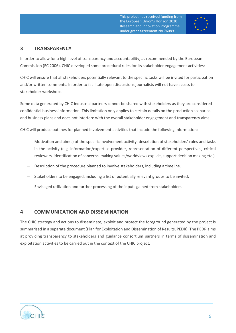

## <span id="page-8-0"></span>**3 TRANSPARENCY**

In order to allow for a high level of transparency and accountability, as recommended by the European Commission (EC 2006), CHIC developed some procedural rules for its stakeholder engagement activities:

CHIC will ensure that all stakeholders potentially relevant to the specific tasks will be invited for participation and/or written comments. In order to facilitate open discussions journalists will not have access to stakeholder workshops.

Some data generated by CHIC industrial partners cannot be shared with stakeholders as they are considered confidential business information. This limitation only applies to certain details on the production scenarios and business plans and does not interfere with the overall stakeholder engagement and transparency aims.

CHIC will produce outlines for planned involvement activities that include the following information:

- − Motivation and aim(s) of the specific involvement activity; description of stakeholders' roles and tasks in the activity (e.g. information/expertise provider, representation of different perspectives, critical reviewers, identification of concerns, making values/worldviews explicit, support decision making etc.).
- Description of the procedure planned to involve stakeholders, including a timeline.
- Stakeholders to be engaged, including a list of potentially relevant groups to be invited.
- Envisaged utilization and further processing of the inputs gained from stakeholders

### <span id="page-8-1"></span>**4 COMMUNICATION AND DISSEMINATION**

The CHIC strategy and actions to disseminate, exploit and protect the foreground generated by the project is summarised in a separate document (Plan for Exploitation and Dissemination of Results, PEDR). The PEDR aims at providing transparency to stakeholders and guidance consortium partners in terms of dissemination and exploitation activities to be carried out in the context of the CHIC project.